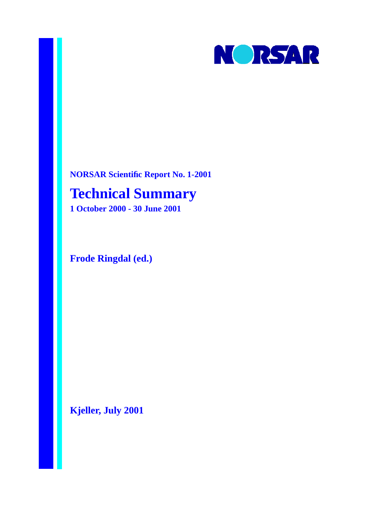

**NORSAR Scientific Report No. 1-2001**

# **Technical Summary**

**1 October 2000 - 30 June 2001**

**Frode Ringdal (ed.)**

**Kjeller, July 2001**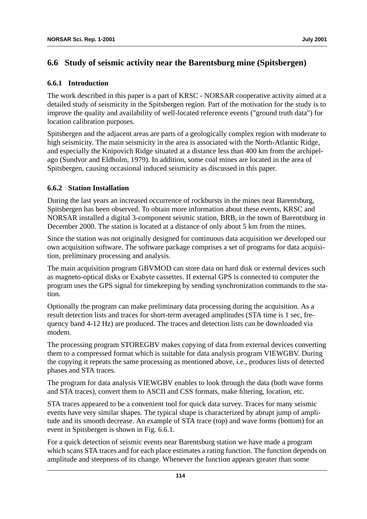# **6.6 Study of seismic activity near the Barentsburg mine (Spitsbergen)**

#### **6.6.1 Introduction**

The work described in this paper is a part of KRSC - NORSAR cooperative activity aimed at a detailed study of seismicity in the Spitsbergen region. Part of the motivation for the study is to improve the quality and availability of well-located reference events ("ground truth data") for location calibration purposes.

Spitsbergen and the adjacent areas are parts of a geologically complex region with moderate to high seismicity. The main seismicity in the area is associated with the North-Atlantic Ridge, and especially the Knipovich Ridge situated at a distance less than 400 km from the archipelago (Sundvor and Eldholm, 1979). In addition, some coal mines are located in the area of Spitsbergen, causing occasional induced seismicity as discussed in this paper.

### **6.6.2 Station Installation**

During the last years an increased occurrence of rockbursts in the mines near Barentsburg, Spitsbergen has been observed. To obtain more information about these events, KRSC and NORSAR installed a digital 3-component seismic station, BRB, in the town of Barentsburg in December 2000. The station is located at a distance of only about 5 km from the mines.

Since the station was not originally designed for continuous data acquisition we developed our own acquisition software. The software package comprises a set of programs for data acquisition, preliminary processing and analysis.

The main acquisition program GBVMOD can store data on hard disk or external devices such as magneto-optical disks or Exabyte cassettes. If external GPS is connected to computer the program uses the GPS signal for timekeeping by sending synchronization commands to the station.

Optionally the program can make preliminary data processing during the acquisition. As a result detection lists and traces for short-term averaged amplitudes (STA time is 1 sec, frequency band 4-12 Hz) are produced. The traces and detection lists can be downloaded via modem.

The processing program STOREGBV makes copying of data from external devices converting them to a compressed format which is suitable for data analysis program VIEWGBV. During the copying it repeats the same processing as mentioned above, i.e., produces lists of detected phases and STA traces.

The program for data analysis VIEWGBV enables to look through the data (both wave forms and STA traces), convert them to ASCII and CSS formats, make filtering, location, etc.

STA traces appeared to be a convenient tool for quick data survey. Traces for many seismic events have very similar shapes. The typical shape is characterized by abrupt jump of amplitude and its smooth decrease. An example of STA trace (top) and wave forms (bottom) for an event in Spitsbergen is shown in Fig. 6.6.1.

For a quick detection of seismic events near Barentsburg station we have made a program which scans STA traces and for each place estimates a rating function. The function depends on amplitude and steepness of its change. Whenever the function appears greater than some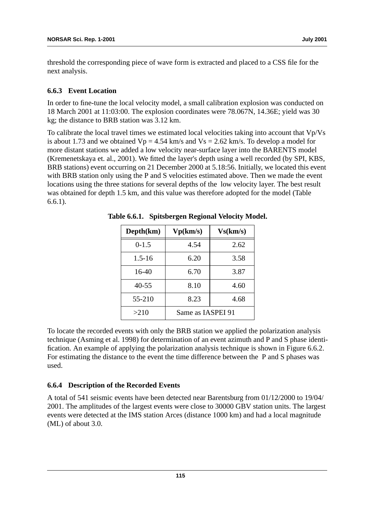threshold the corresponding piece of wave form is extracted and placed to a CSS file for the next analysis.

#### **6.6.3 Event Location**

In order to fine-tune the local velocity model, a small calibration explosion was conducted on 18 March 2001 at 11:03:00. The explosion coordinates were 78.067N, 14.36E; yield was 30 kg; the distance to BRB station was 3.12 km.

To calibrate the local travel times we estimated local velocities taking into account that Vp/Vs is about 1.73 and we obtained  $Vp = 4.54$  km/s and  $Vs = 2.62$  km/s. To develop a model for more distant stations we added a low velocity near-surface layer into the BARENTS model (Kremenetskaya et. al., 2001). We fitted the layer's depth using a well recorded (by SPI, KBS, BRB stations) event occurring on 21 December 2000 at 5.18:56. Initially, we located this event with BRB station only using the P and S velocities estimated above. Then we made the event locations using the three stations for several depths of the low velocity layer. The best result was obtained for depth 1.5 km, and this value was therefore adopted for the model (Table 6.6.1).

| Depth(km)  | Vp(km/s)          | Vs(km/s) |  |
|------------|-------------------|----------|--|
| $0-1.5$    | 4.54              | 2.62     |  |
| $1.5 - 16$ | 6.20              | 3.58     |  |
| 16-40      | 6.70              | 3.87     |  |
| $40 - 55$  | 8.10              | 4.60     |  |
| 55-210     | 8.23              | 4.68     |  |
| >210       | Same as IASPEI 91 |          |  |

**Table 6.6.1. Spitsbergen Regional Velocity Model.**

To locate the recorded events with only the BRB station we applied the polarization analysis technique (Asming et al. 1998) for determination of an event azimuth and P and S phase identification. An example of applying the polarization analysis technique is shown in Figure 6.6.2. For estimating the distance to the event the time difference between the P and S phases was used.

## **6.6.4 Description of the Recorded Events**

A total of 541 seismic events have been detected near Barentsburg from 01/12/2000 to 19/04/ 2001. The amplitudes of the largest events were close to 30000 GBV station units. The largest events were detected at the IMS station Arces (distance 1000 km) and had a local magnitude (ML) of about 3.0.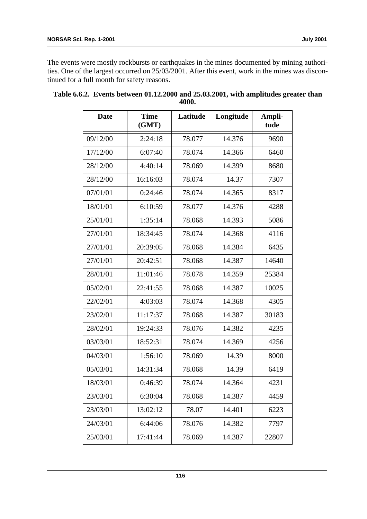The events were mostly rockbursts or earthquakes in the mines documented by mining authorities. One of the largest occurred on 25/03/2001. After this event, work in the mines was discontinued for a full month for safety reasons.

| <b>Date</b> | <b>Time</b><br>(GMT) | Latitude | Longitude | Ampli-<br>tude |
|-------------|----------------------|----------|-----------|----------------|
| 09/12/00    | 2:24:18              | 78.077   | 14.376    | 9690           |
| 17/12/00    | 6:07:40              | 78.074   | 14.366    | 6460           |
| 28/12/00    | 4:40:14              | 78.069   | 14.399    | 8680           |
| 28/12/00    | 16:16:03             | 78.074   | 14.37     | 7307           |
| 07/01/01    | 0:24:46              | 78.074   | 14.365    | 8317           |
| 18/01/01    | 6:10:59              | 78.077   | 14.376    | 4288           |
| 25/01/01    | 1:35:14              | 78.068   | 14.393    | 5086           |
| 27/01/01    | 18:34:45             | 78.074   | 14.368    | 4116           |
| 27/01/01    | 20:39:05             | 78.068   | 14.384    | 6435           |
| 27/01/01    | 20:42:51             | 78.068   | 14.387    | 14640          |
| 28/01/01    | 11:01:46             | 78.078   | 14.359    | 25384          |
| 05/02/01    | 22:41:55             | 78.068   | 14.387    | 10025          |
| 22/02/01    | 4:03:03              | 78.074   | 14.368    | 4305           |
| 23/02/01    | 11:17:37             | 78.068   | 14.387    | 30183          |
| 28/02/01    | 19:24:33             | 78.076   | 14.382    | 4235           |
| 03/03/01    | 18:52:31             | 78.074   | 14.369    | 4256           |
| 04/03/01    | 1:56:10              | 78.069   | 14.39     | 8000           |
| 05/03/01    | 14:31:34             | 78.068   | 14.39     | 6419           |
| 18/03/01    | 0:46:39              | 78.074   | 14.364    | 4231           |
| 23/03/01    | 6:30:04              | 78.068   | 14.387    | 4459           |
| 23/03/01    | 13:02:12             | 78.07    | 14.401    | 6223           |
| 24/03/01    | 6:44:06              | 78.076   | 14.382    | 7797           |
| 25/03/01    | 17:41:44             | 78.069   | 14.387    | 22807          |

|  |       | Table 6.6.2. Events between 01.12.2000 and 25.03.2001, with amplitudes greater than |
|--|-------|-------------------------------------------------------------------------------------|
|  | 4000. |                                                                                     |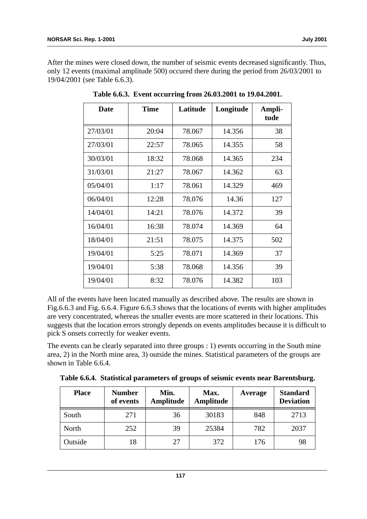After the mines were closed down, the number of seismic events decreased significantly. Thus, only 12 events (maximal amplitude 500) occured there during the period from 26/03/2001 to 19/04/2001 (see Table 6.6.3).

| <b>Date</b> | <b>Time</b> | Latitude | Longitude | Ampli-<br>tude |
|-------------|-------------|----------|-----------|----------------|
| 27/03/01    | 20:04       | 78.067   | 14.356    | 38             |
| 27/03/01    | 22:57       | 78.065   | 14.355    | 58             |
| 30/03/01    | 18:32       | 78.068   | 14.365    | 234            |
| 31/03/01    | 21:27       | 78.067   | 14.362    | 63             |
| 05/04/01    | 1:17        | 78.061   | 14.329    | 469            |
| 06/04/01    | 12:28       | 78.076   | 14.36     | 127            |
| 14/04/01    | 14:21       | 78.076   | 14.372    | 39             |
| 16/04/01    | 16:38       | 78.074   | 14.369    | 64             |
| 18/04/01    | 21:51       | 78.075   | 14.375    | 502            |
| 19/04/01    | 5:25        | 78.071   | 14.369    | 37             |
| 19/04/01    | 5:38        | 78.068   | 14.356    | 39             |
| 19/04/01    | 8:32        | 78.076   | 14.382    | 103            |

**Table 6.6.3. Event occurring from 26.03.2001 to 19.04.2001.**

All of the events have been located manually as described above. The results are shown in Fig.6.6.3 and Fig. 6.6.4. Figure 6.6.3 shows that the locations of events with higher amplitudes are very concentrated, whereas the smaller events are more scattered in their locations. This suggests that the location errors strongly depends on events amplitudes because it is difficult to pick S onsets correctly for weaker events.

The events can be clearly separated into three groups : 1) events occurring in the South mine area, 2) in the North mine area, 3) outside the mines. Statistical parameters of the groups are shown in Table 6.6.4.

| <b>Place</b> | <b>Number</b><br>of events | Min.<br>Amplitude | Max.<br>Amplitude | Average | <b>Standard</b><br><b>Deviation</b> |
|--------------|----------------------------|-------------------|-------------------|---------|-------------------------------------|
| South        | 271                        | 36                | 30183             | 848     | 2713                                |
| North        | 252                        | 39                | 25384             | 782     | 2037                                |
| Outside      | 18                         | 27                | 372               | 176     | 98                                  |

**Table 6.6.4. Statistical parameters of groups of seismic events near Barentsburg.**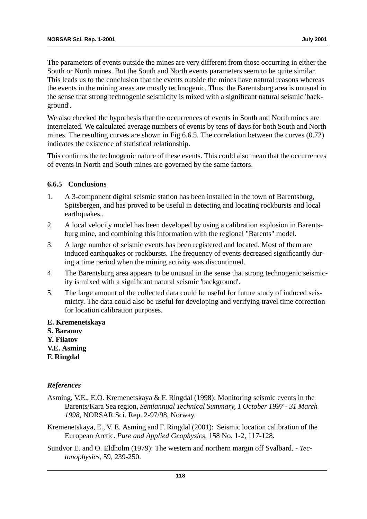The parameters of events outside the mines are very different from those occurring in either the South or North mines. But the South and North events parameters seem to be quite similar. This leads us to the conclusion that the events outside the mines have natural reasons whereas the events in the mining areas are mostly technogenic. Thus, the Barentsburg area is unusual in the sense that strong technogenic seismicity is mixed with a significant natural seismic 'background'.

We also checked the hypothesis that the occurrences of events in South and North mines are interrelated. We calculated average numbers of events by tens of days for both South and North mines. The resulting curves are shown in Fig.6.6.5. The correlation between the curves (0.72) indicates the existence of statistical relationship.

This confirms the technogenic nature of these events. This could also mean that the occurrences of events in North and South mines are governed by the same factors.

#### **6.6.5 Conclusions**

- 1. A 3-component digital seismic station has been installed in the town of Barentsburg, Spitsbergen, and has proved to be useful in detecting and locating rockbursts and local earthquakes..
- 2. A local velocity model has been developed by using a calibration explosion in Barentsburg mine, and combining this information with the regional "Barents" model.
- 3. A large number of seismic events has been registered and located. Most of them are induced earthquakes or rockbursts. The frequency of events decreased significantly during a time period when the mining activity was discontinued.
- 4. The Barentsburg area appears to be unusual in the sense that strong technogenic seismicity is mixed with a significant natural seismic 'background'.
- 5. The large amount of the collected data could be useful for future study of induced seismicity. The data could also be useful for developing and verifying travel time correction for location calibration purposes.
- **E. Kremenetskaya**
- **S. Baranov**
- **Y. Filatov**
- **V.E. Asming**
- **F. Ringdal**

#### *References*

- Asming, V.E., E.O. Kremenetskaya & F. Ringdal (1998): Monitoring seismic events in the Barents/Kara Sea region, *Semiannual Technical Summary, 1 October 1997 - 31 March 1998*, NORSAR Sci. Rep. 2-97/98, Norway.
- Kremenetskaya, E., V. E. Asming and F. Ringdal (2001): Seismic location calibration of the European Arctic. *Pure and Applied Geophysics,* 158 No. 1-2, 117-128.
- Sundvor E. and O. Eldholm (1979): The western and northern margin off Svalbard. *Tectonophysics*, 59, 239-250.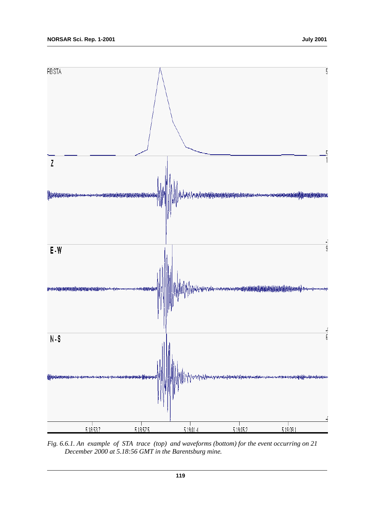

*Fig. 6.6.1. An example of STA trace (top) and waveforms (bottom) for the event occurring on 21 December 2000 at 5.18:56 GMT in the Barentsburg mine.*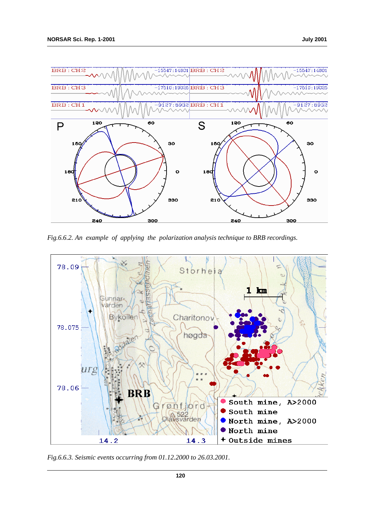

*Fig.6.6.2. An example of applying the polarization analysis technique to BRB recordings.*



*Fig.6.6.3. Seismic events occurring from 01.12.2000 to 26.03.2001.*